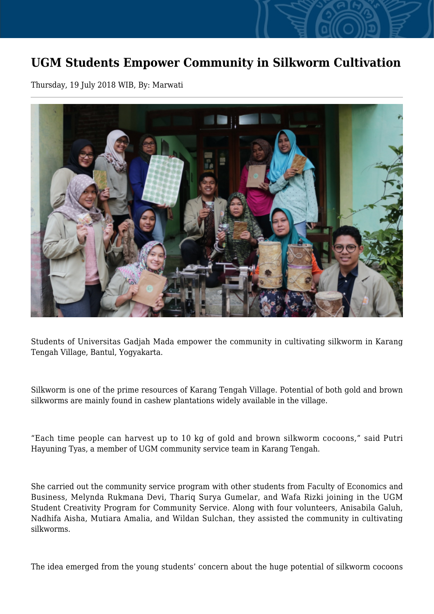## **UGM Students Empower Community in Silkworm Cultivation**

Thursday, 19 July 2018 WIB, By: Marwati



Students of Universitas Gadjah Mada empower the community in cultivating silkworm in Karang Tengah Village, Bantul, Yogyakarta.

Silkworm is one of the prime resources of Karang Tengah Village. Potential of both gold and brown silkworms are mainly found in cashew plantations widely available in the village.

"Each time people can harvest up to 10 kg of gold and brown silkworm cocoons," said Putri Hayuning Tyas, a member of UGM community service team in Karang Tengah.

She carried out the community service program with other students from Faculty of Economics and Business, Melynda Rukmana Devi, Thariq Surya Gumelar, and Wafa Rizki joining in the UGM Student Creativity Program for Community Service. Along with four volunteers, Anisabila Galuh, Nadhifa Aisha, Mutiara Amalia, and Wildan Sulchan, they assisted the community in cultivating silkworms.

The idea emerged from the young students' concern about the huge potential of silkworm cocoons